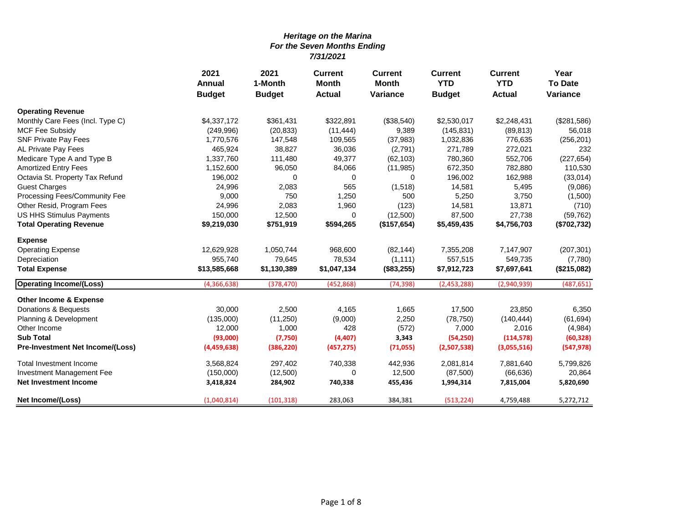|                                         | 2021<br>Annual | 2021<br>1-Month | <b>Current</b><br><b>Month</b><br><b>Month</b> | <b>Current</b> | <b>Current</b><br><b>YTD</b> | <b>Current</b><br><b>YTD</b><br><b>Actual</b><br>\$2,248,431<br>(89, 813)<br>776,635<br>272,021<br>552,706<br>782,880<br>162,988<br>5,495<br>3,750<br>13,871<br>27,738<br>\$4,756,703<br>7,147,907<br>549,735<br>\$7,697,641 | Year<br><b>To Date</b> |
|-----------------------------------------|----------------|-----------------|------------------------------------------------|----------------|------------------------------|------------------------------------------------------------------------------------------------------------------------------------------------------------------------------------------------------------------------------|------------------------|
|                                         | <b>Budget</b>  | <b>Budget</b>   | <b>Actual</b>                                  | Variance       | <b>Budget</b>                |                                                                                                                                                                                                                              | Variance               |
| <b>Operating Revenue</b>                |                |                 |                                                |                |                              |                                                                                                                                                                                                                              |                        |
| Monthly Care Fees (Incl. Type C)        | \$4,337,172    | \$361,431       | \$322,891                                      | (\$38,540)     | \$2,530,017                  |                                                                                                                                                                                                                              | (\$281,586)            |
| <b>MCF Fee Subsidy</b>                  | (249, 996)     | (20, 833)       | (11, 444)                                      | 9,389          | (145, 831)                   |                                                                                                                                                                                                                              | 56,018                 |
| <b>SNF Private Pay Fees</b>             | 1,770,576      | 147,548         | 109,565                                        | (37, 983)      | 1,032,836                    |                                                                                                                                                                                                                              | (256, 201)             |
| AL Private Pay Fees                     | 465,924        | 38,827          | 36,036                                         | (2,791)        | 271,789                      |                                                                                                                                                                                                                              | 232                    |
| Medicare Type A and Type B              | 1,337,760      | 111,480         | 49,377                                         | (62, 103)      | 780,360                      |                                                                                                                                                                                                                              | (227, 654)             |
| <b>Amortized Entry Fees</b>             | 1,152,600      | 96,050          | 84,066                                         | (11, 985)      | 672,350                      |                                                                                                                                                                                                                              | 110,530                |
| Octavia St. Property Tax Refund         | 196,002        | 0               | 0                                              | 0              | 196,002                      |                                                                                                                                                                                                                              | (33,014)               |
| <b>Guest Charges</b>                    | 24,996         | 2,083           | 565                                            | (1,518)        | 14,581                       |                                                                                                                                                                                                                              | (9,086)                |
| Processing Fees/Community Fee           | 9,000          | 750             | 1,250                                          | 500            | 5,250                        |                                                                                                                                                                                                                              | (1,500)                |
| Other Resid, Program Fees               | 24,996         | 2,083           | 1,960                                          | (123)          | 14,581                       |                                                                                                                                                                                                                              | (710)                  |
| <b>US HHS Stimulus Payments</b>         | 150,000        | 12,500          | 0                                              | (12,500)       | 87,500                       |                                                                                                                                                                                                                              | (59, 762)              |
| <b>Total Operating Revenue</b>          | \$9,219,030    | \$751,919       | \$594,265                                      | (\$157,654)    | \$5,459,435                  |                                                                                                                                                                                                                              | (\$702, 732)           |
| <b>Expense</b>                          |                |                 |                                                |                |                              |                                                                                                                                                                                                                              |                        |
| <b>Operating Expense</b>                | 12,629,928     | 1,050,744       | 968,600                                        | (82, 144)      | 7,355,208                    |                                                                                                                                                                                                                              | (207, 301)             |
| Depreciation                            | 955,740        | 79,645          | 78,534                                         | (1, 111)       | 557,515                      |                                                                                                                                                                                                                              | (7,780)                |
| <b>Total Expense</b>                    | \$13,585,668   | \$1,130,389     | \$1,047,134                                    | (\$83,255)     | \$7,912,723                  |                                                                                                                                                                                                                              | (\$215,082)            |
| <b>Operating Income/(Loss)</b>          | (4,366,638)    | (378, 470)      | (452, 868)                                     | (74, 398)      | (2,453,288)                  | (2,940,939)                                                                                                                                                                                                                  | (487, 651)             |
| <b>Other Income &amp; Expense</b>       |                |                 |                                                |                |                              |                                                                                                                                                                                                                              |                        |
| Donations & Bequests                    | 30,000         | 2,500           | 4,165                                          | 1,665          | 17,500                       | 23,850                                                                                                                                                                                                                       | 6,350                  |
| Planning & Development                  | (135,000)      | (11,250)        | (9,000)                                        | 2,250          | (78, 750)                    | (140, 444)                                                                                                                                                                                                                   | (61, 694)              |
| Other Income                            | 12,000         | 1,000           | 428                                            | (572)          | 7,000                        | 2,016                                                                                                                                                                                                                        | (4,984)                |
| <b>Sub Total</b>                        | (93,000)       | (7,750)         | (4, 407)                                       | 3,343          | (54, 250)                    | (114, 578)                                                                                                                                                                                                                   | (60, 328)              |
| <b>Pre-Investment Net Income/(Loss)</b> | (4,459,638)    | (386, 220)      | (457, 275)                                     | (71,055)       | (2,507,538)                  | (3,055,516)                                                                                                                                                                                                                  | (547, 978)             |
| <b>Total Investment Income</b>          | 3,568,824      | 297,402         | 740,338                                        | 442,936        | 2,081,814                    | 7,881,640                                                                                                                                                                                                                    | 5,799,826              |
| Investment Management Fee               | (150,000)      | (12,500)        | 0                                              | 12,500         | (87,500)                     | (66, 636)                                                                                                                                                                                                                    | 20,864                 |
| <b>Net Investment Income</b>            | 3,418,824      | 284,902         | 740,338                                        | 455,436        | 1,994,314                    | 7,815,004                                                                                                                                                                                                                    | 5,820,690              |
| Net Income/(Loss)                       | (1,040,814)    | (101, 318)      | 283,063                                        | 384,381        | (513, 224)                   | 4,759,488                                                                                                                                                                                                                    | 5,272,712              |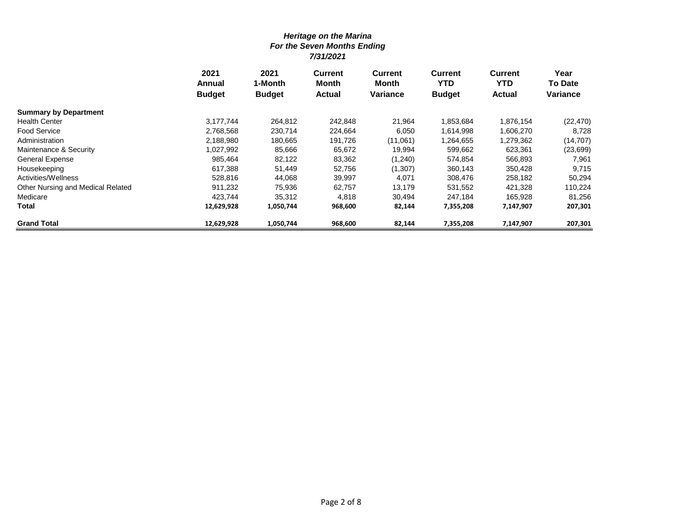|                                   | 2021<br>Annual<br><b>Budget</b> | 2021<br>1-Month | <b>Current</b><br>Month | <b>Current</b><br><b>Month</b> | <b>Current</b><br><b>YTD</b> | <b>Current</b><br><b>YTD</b> | Year<br><b>To Date</b><br>Variance |
|-----------------------------------|---------------------------------|-----------------|-------------------------|--------------------------------|------------------------------|------------------------------|------------------------------------|
|                                   |                                 | <b>Budget</b>   | <b>Actual</b>           | <b>Variance</b>                | <b>Budget</b>                | <b>Actual</b>                |                                    |
| <b>Summary by Department</b>      |                                 |                 |                         |                                |                              |                              |                                    |
| <b>Health Center</b>              | 3,177,744                       | 264,812         | 242,848                 | 21,964                         | 1,853,684                    | 1,876,154                    | (22, 470)                          |
| <b>Food Service</b>               | 2,768,568                       | 230.714         | 224,664                 | 6,050                          | 1,614,998                    | 1,606,270                    | 8,728                              |
| Administration                    | 2,188,980                       | 180,665         | 191,726                 | (11,061)                       | 1,264,655                    | 1,279,362                    | (14, 707)                          |
| Maintenance & Security            | 1,027,992                       | 85,666          | 65,672                  | 19,994                         | 599,662                      | 623,361                      | (23, 699)                          |
| <b>General Expense</b>            | 985,464                         | 82,122          | 83,362                  | (1,240)                        | 574,854                      | 566,893                      | 7.961                              |
| Housekeeping                      | 617,388                         | 51,449          | 52,756                  | (1,307)                        | 360,143                      | 350,428                      | 9,715                              |
| Activities/Wellness               | 528.816                         | 44,068          | 39.997                  | 4,071                          | 308,476                      | 258,182                      | 50,294                             |
| Other Nursing and Medical Related | 911,232                         | 75,936          | 62,757                  | 13,179                         | 531,552                      | 421,328                      | 110,224                            |
| Medicare                          | 423,744                         | 35,312          | 4,818                   | 30,494                         | 247,184                      | 165,928                      | 81,256                             |
| Total                             | 12,629,928                      | 1,050,744       | 968,600                 | 82,144                         | 7,355,208                    | 7,147,907                    | 207,301                            |
| <b>Grand Total</b>                | 12,629,928                      | 1,050,744       | 968,600                 | 82,144                         | 7,355,208                    | 7,147,907                    | 207,301                            |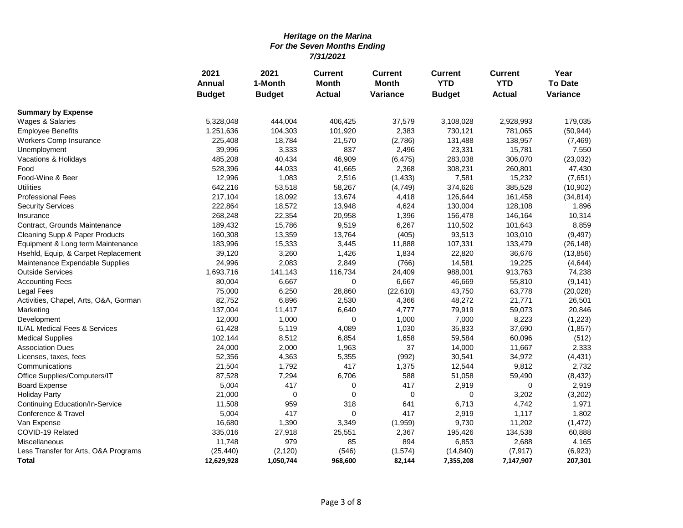|                                       | 2021          | 2021          | <b>Current</b><br><b>Current</b> |              | <b>Current</b> | <b>Current</b> | Year           |
|---------------------------------------|---------------|---------------|----------------------------------|--------------|----------------|----------------|----------------|
|                                       | <b>Annual</b> | 1-Month       | <b>Month</b>                     | <b>Month</b> | <b>YTD</b>     | <b>YTD</b>     | <b>To Date</b> |
|                                       | <b>Budget</b> | <b>Budget</b> | <b>Actual</b>                    | Variance     | <b>Budget</b>  | <b>Actual</b>  | Variance       |
| <b>Summary by Expense</b>             |               |               |                                  |              |                |                |                |
| Wages & Salaries                      | 5,328,048     | 444,004       | 406,425                          | 37,579       | 3,108,028      | 2,928,993      | 179,035        |
| <b>Employee Benefits</b>              | 1,251,636     | 104,303       | 101,920                          | 2,383        | 730,121        | 781,065        | (50, 944)      |
| Workers Comp Insurance                | 225,408       | 18,784        | 21,570                           | (2,786)      | 131,488        | 138,957        | (7, 469)       |
| Unemployment                          | 39,996        | 3,333         | 837                              | 2,496        | 23,331         | 15,781         | 7,550          |
| Vacations & Holidays                  | 485,208       | 40,434        | 46,909                           | (6, 475)     | 283,038        | 306,070        | (23,032)       |
| Food                                  | 528,396       | 44,033        | 41,665                           | 2,368        | 308,231        | 260,801        | 47,430         |
| Food-Wine & Beer                      | 12,996        | 1,083         | 2,516                            | (1, 433)     | 7,581          | 15,232         | (7,651)        |
| <b>Utilities</b>                      | 642,216       | 53,518        | 58,267                           | (4,749)      | 374,626        | 385,528        | (10, 902)      |
| <b>Professional Fees</b>              | 217,104       | 18,092        | 13,674                           | 4,418        | 126,644        | 161,458        | (34, 814)      |
| <b>Security Services</b>              | 222,864       | 18,572        | 13,948                           | 4,624        | 130,004        | 128,108        | 1,896          |
| Insurance                             | 268,248       | 22,354        | 20,958                           | 1,396        | 156,478        | 146,164        | 10,314         |
| Contract, Grounds Maintenance         | 189,432       | 15,786        | 9,519                            | 6,267        | 110,502        | 101,643        | 8,859          |
| Cleaning Supp & Paper Products        | 160,308       | 13,359        | 13,764                           | (405)        | 93,513         | 103,010        | (9, 497)       |
| Equipment & Long term Maintenance     | 183,996       | 15,333        | 3,445                            | 11,888       | 107,331        | 133,479        | (26, 148)      |
| Hsehld, Equip, & Carpet Replacement   | 39,120        | 3,260         | 1,426                            | 1,834        | 22,820         | 36,676         | (13, 856)      |
| Maintenance Expendable Supplies       | 24,996        | 2,083         | 2,849                            | (766)        | 14,581         | 19,225         | (4, 644)       |
| <b>Outside Services</b>               | 1,693,716     | 141,143       | 116,734                          | 24,409       | 988,001        | 913,763        | 74,238         |
| <b>Accounting Fees</b>                | 80,004        | 6,667         | $\mathbf 0$                      | 6,667        | 46,669         | 55,810         | (9, 141)       |
| Legal Fees                            | 75,000        | 6,250         | 28,860                           | (22, 610)    | 43,750         | 63,778         | (20, 028)      |
| Activities, Chapel, Arts, O&A, Gorman | 82,752        | 6,896         | 2,530                            | 4,366        | 48,272         | 21,771         | 26,501         |
| Marketing                             | 137,004       | 11,417        | 6,640                            | 4,777        | 79,919         | 59,073         | 20,846         |
| Development                           | 12,000        | 1,000         | 0                                | 1,000        | 7,000          | 8,223          | (1, 223)       |
| IL/AL Medical Fees & Services         | 61,428        | 5,119         | 4,089                            | 1,030        | 35,833         | 37,690         | (1, 857)       |
| <b>Medical Supplies</b>               | 102,144       | 8,512         | 6,854                            | 1,658        | 59,584         | 60,096         | (512)          |
| <b>Association Dues</b>               | 24,000        | 2,000         | 1,963                            | 37           | 14,000         | 11,667         | 2,333          |
| Licenses, taxes, fees                 | 52,356        | 4,363         | 5,355                            | (992)        | 30,541         | 34,972         | (4, 431)       |
| Communications                        | 21,504        | 1,792         | 417                              | 1,375        | 12,544         | 9,812          | 2,732          |
| Office Supplies/Computers/IT          | 87,528        | 7,294         | 6,706                            | 588          | 51,058         | 59,490         | (8, 432)       |
| <b>Board Expense</b>                  | 5,004         | 417           | 0                                | 417          | 2,919          | $\mathbf 0$    | 2,919          |
| <b>Holiday Party</b>                  | 21,000        | 0             | $\Omega$                         | $\mathbf 0$  | $\Omega$       | 3,202          | (3,202)        |
| Continuing Education/In-Service       | 11,508        | 959           | 318                              | 641          | 6,713          | 4,742          | 1,971          |
| Conference & Travel                   | 5,004         | 417           | 0                                | 417          | 2,919          | 1,117          | 1,802          |
| Van Expense                           | 16,680        | 1,390         | 3,349                            | (1,959)      | 9,730          | 11,202         | (1, 472)       |
| COVID-19 Related                      | 335,016       | 27,918        | 25,551                           | 2,367        | 195,426        | 134,538        | 60,888         |
| Miscellaneous                         | 11,748        | 979           | 85                               | 894          | 6,853          | 2,688          | 4,165          |
| Less Transfer for Arts, O&A Programs  | (25, 440)     | (2, 120)      | (546)                            | (1, 574)     | (14, 840)      | (7, 917)       | (6,923)        |
| <b>Total</b>                          | 12,629,928    | 1,050,744     | 968,600                          | 82,144       | 7,355,208      | 7,147,907      | 207,301        |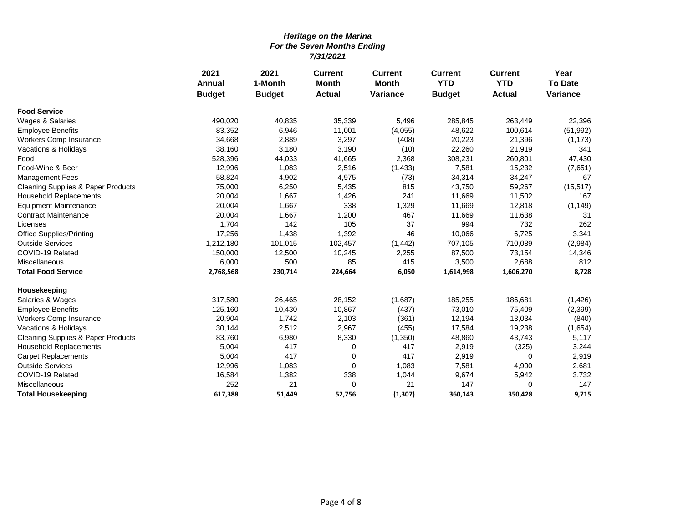|                                               | 2021          | 2021<br><b>Current</b> | <b>Current</b> | <b>Current</b> | <b>Current</b> | Year          |                |
|-----------------------------------------------|---------------|------------------------|----------------|----------------|----------------|---------------|----------------|
|                                               | <b>Annual</b> | 1-Month                | <b>Month</b>   | <b>Month</b>   | <b>YTD</b>     | <b>YTD</b>    | <b>To Date</b> |
|                                               | <b>Budget</b> | <b>Budget</b>          | <b>Actual</b>  | Variance       | <b>Budget</b>  | <b>Actual</b> | Variance       |
| <b>Food Service</b>                           |               |                        |                |                |                |               |                |
| Wages & Salaries                              | 490,020       | 40,835                 | 35,339         | 5,496          | 285,845        | 263,449       | 22,396         |
| <b>Employee Benefits</b>                      | 83,352        | 6,946                  | 11,001         | (4,055)        | 48,622         | 100,614       | (51, 992)      |
| Workers Comp Insurance                        | 34,668        | 2,889                  | 3,297          | (408)          | 20,223         | 21,396        | (1, 173)       |
| Vacations & Holidays                          | 38,160        | 3,180                  | 3,190          | (10)           | 22,260         | 21,919        | 341            |
| Food                                          | 528,396       | 44,033                 | 41,665         | 2,368          | 308,231        | 260,801       | 47,430         |
| Food-Wine & Beer                              | 12,996        | 1,083                  | 2,516          | (1, 433)       | 7,581          | 15,232        | (7,651)        |
| Management Fees                               | 58,824        | 4,902                  | 4,975          | (73)           | 34,314         | 34,247        | 67             |
| <b>Cleaning Supplies &amp; Paper Products</b> | 75,000        | 6,250                  | 5,435          | 815            | 43,750         | 59,267        | (15, 517)      |
| <b>Household Replacements</b>                 | 20,004        | 1,667                  | 1,426          | 241            | 11,669         | 11,502        | 167            |
| <b>Equipment Maintenance</b>                  | 20,004        | 1,667                  | 338            | 1,329          | 11,669         | 12,818        | (1, 149)       |
| <b>Contract Maintenance</b>                   | 20,004        | 1,667                  | 1,200          | 467            | 11,669         | 11,638        | 31             |
| Licenses                                      | 1,704         | 142                    | 105            | 37             | 994            | 732           | 262            |
| <b>Office Supplies/Printing</b>               | 17,256        | 1,438                  | 1,392          | 46             | 10,066         | 6,725         | 3,341          |
| <b>Outside Services</b>                       | 1,212,180     | 101,015                | 102,457        | (1, 442)       | 707,105        | 710,089       | (2,984)        |
| COVID-19 Related                              | 150,000       | 12,500                 | 10,245         | 2,255          | 87,500         | 73,154        | 14,346         |
| <b>Miscellaneous</b>                          | 6,000         | 500                    | 85             | 415            | 3,500          | 2,688         | 812            |
| <b>Total Food Service</b>                     | 2,768,568     | 230,714                | 224,664        | 6,050          | 1,614,998      | 1,606,270     | 8,728          |
| Housekeeping                                  |               |                        |                |                |                |               |                |
| Salaries & Wages                              | 317,580       | 26,465                 | 28,152         | (1,687)        | 185,255        | 186,681       | (1, 426)       |
| <b>Employee Benefits</b>                      | 125,160       | 10,430                 | 10,867         | (437)          | 73,010         | 75,409        | (2, 399)       |
| Workers Comp Insurance                        | 20,904        | 1,742                  | 2,103          | (361)          | 12,194         | 13,034        | (840)          |
| Vacations & Holidays                          | 30,144        | 2,512                  | 2,967          | (455)          | 17,584         | 19,238        | (1,654)        |
| <b>Cleaning Supplies &amp; Paper Products</b> | 83,760        | 6,980                  | 8,330          | (1, 350)       | 48,860         | 43,743        | 5,117          |
| <b>Household Replacements</b>                 | 5,004         | 417                    | 0              | 417            | 2,919          | (325)         | 3,244          |
| <b>Carpet Replacements</b>                    | 5,004         | 417                    | 0              | 417            | 2,919          | 0             | 2,919          |
| <b>Outside Services</b>                       | 12,996        | 1,083                  | 0              | 1,083          | 7,581          | 4,900         | 2,681          |
| COVID-19 Related                              | 16,584        | 1,382                  | 338            | 1,044          | 9,674          | 5,942         | 3,732          |
| Miscellaneous                                 | 252           | 21                     | $\Omega$       | 21             | 147            | 0             | 147            |
| <b>Total Housekeeping</b>                     | 617,388       | 51,449                 | 52,756         | (1, 307)       | 360,143        | 350,428       | 9,715          |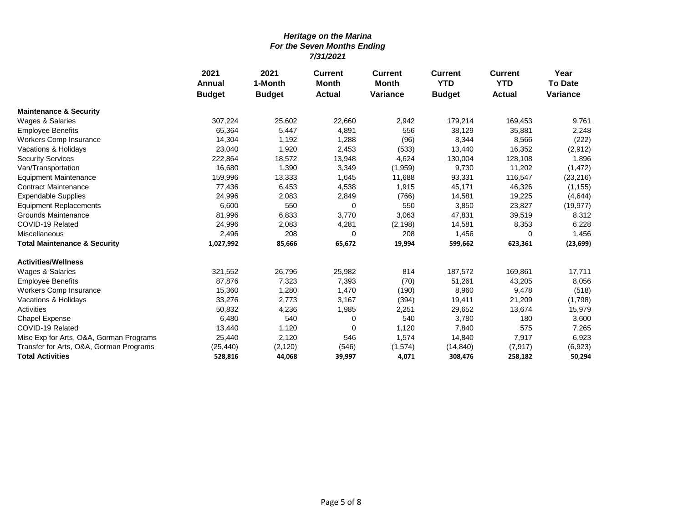|                                         | 2021          | 2021<br><b>Current</b><br><b>Current</b> | <b>Current</b> | <b>Current</b>  | Year          |               |                |
|-----------------------------------------|---------------|------------------------------------------|----------------|-----------------|---------------|---------------|----------------|
|                                         | <b>Annual</b> | 1-Month                                  | <b>Month</b>   | <b>Month</b>    | <b>YTD</b>    | <b>YTD</b>    | <b>To Date</b> |
|                                         | <b>Budget</b> | <b>Budget</b>                            | <b>Actual</b>  | <b>Variance</b> | <b>Budget</b> | <b>Actual</b> | Variance       |
| <b>Maintenance &amp; Security</b>       |               |                                          |                |                 |               |               |                |
| Wages & Salaries                        | 307,224       | 25,602                                   | 22,660         | 2,942           | 179,214       | 169,453       | 9,761          |
| <b>Employee Benefits</b>                | 65,364        | 5,447                                    | 4,891          | 556             | 38,129        | 35,881        | 2,248          |
| Workers Comp Insurance                  | 14,304        | 1,192                                    | 1,288          | (96)            | 8,344         | 8,566         | (222)          |
| Vacations & Holidays                    | 23,040        | 1,920                                    | 2,453          | (533)           | 13,440        | 16,352        | (2, 912)       |
| <b>Security Services</b>                | 222,864       | 18,572                                   | 13,948         | 4,624           | 130,004       | 128,108       | 1,896          |
| Van/Transportation                      | 16,680        | 1,390                                    | 3,349          | (1,959)         | 9,730         | 11,202        | (1, 472)       |
| <b>Equipment Maintenance</b>            | 159,996       | 13,333                                   | 1,645          | 11,688          | 93,331        | 116,547       | (23, 216)      |
| <b>Contract Maintenance</b>             | 77,436        | 6,453                                    | 4,538          | 1,915           | 45,171        | 46,326        | (1, 155)       |
| <b>Expendable Supplies</b>              | 24,996        | 2,083                                    | 2,849          | (766)           | 14,581        | 19,225        | (4,644)        |
| <b>Equipment Replacements</b>           | 6,600         | 550                                      | $\Omega$       | 550             | 3,850         | 23,827        | (19, 977)      |
| <b>Grounds Maintenance</b>              | 81,996        | 6,833                                    | 3,770          | 3,063           | 47,831        | 39,519        | 8,312          |
| COVID-19 Related                        | 24,996        | 2,083                                    | 4,281          | (2, 198)        | 14,581        | 8,353         | 6,228          |
| Miscellaneous                           | 2,496         | 208                                      | 0              | 208             | 1,456         | 0             | 1,456          |
| <b>Total Maintenance &amp; Security</b> | 1,027,992     | 85,666                                   | 65,672         | 19,994          | 599,662       | 623,361       | (23, 699)      |
| <b>Activities/Wellness</b>              |               |                                          |                |                 |               |               |                |
| Wages & Salaries                        | 321,552       | 26,796                                   | 25,982         | 814             | 187,572       | 169,861       | 17,711         |
| <b>Employee Benefits</b>                | 87,876        | 7,323                                    | 7,393          | (70)            | 51,261        | 43,205        | 8,056          |
| Workers Comp Insurance                  | 15,360        | 1,280                                    | 1,470          | (190)           | 8,960         | 9,478         | (518)          |
| Vacations & Holidays                    | 33,276        | 2,773                                    | 3,167          | (394)           | 19,411        | 21,209        | (1,798)        |
| Activities                              | 50,832        | 4,236                                    | 1,985          | 2,251           | 29,652        | 13,674        | 15,979         |
| <b>Chapel Expense</b>                   | 6,480         | 540                                      | 0              | 540             | 3,780         | 180           | 3,600          |
| COVID-19 Related                        | 13,440        | 1,120                                    | $\Omega$       | 1,120           | 7,840         | 575           | 7,265          |
| Misc Exp for Arts, O&A, Gorman Programs | 25,440        | 2,120                                    | 546            | 1,574           | 14,840        | 7,917         | 6,923          |
| Transfer for Arts, O&A, Gorman Programs | (25, 440)     | (2, 120)                                 | (546)          | (1, 574)        | (14, 840)     | (7, 917)      | (6,923)        |
| <b>Total Activities</b>                 | 528,816       | 44,068                                   | 39,997         | 4,071           | 308,476       | 258,182       | 50,294         |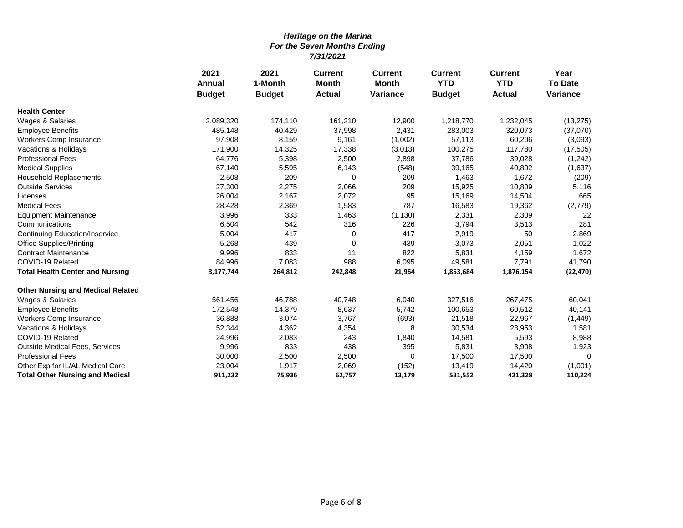|                                          | 2021          | 2021<br><b>Current</b><br><b>Current</b> | <b>Current</b> | <b>Current</b> | Year          |               |                |
|------------------------------------------|---------------|------------------------------------------|----------------|----------------|---------------|---------------|----------------|
|                                          | Annual        | 1-Month                                  | <b>Month</b>   | <b>Month</b>   | <b>YTD</b>    | <b>YTD</b>    | <b>To Date</b> |
|                                          | <b>Budget</b> | <b>Budget</b>                            | <b>Actual</b>  | Variance       | <b>Budget</b> | <b>Actual</b> | Variance       |
| <b>Health Center</b>                     |               |                                          |                |                |               |               |                |
| Wages & Salaries                         | 2,089,320     | 174,110                                  | 161,210        | 12,900         | 1,218,770     | 1,232,045     | (13, 275)      |
| <b>Employee Benefits</b>                 | 485,148       | 40,429                                   | 37,998         | 2,431          | 283,003       | 320,073       | (37,070)       |
| <b>Workers Comp Insurance</b>            | 97,908        | 8,159                                    | 9,161          | (1,002)        | 57,113        | 60,206        | (3,093)        |
| Vacations & Holidays                     | 171,900       | 14,325                                   | 17,338         | (3,013)        | 100,275       | 117,780       | (17, 505)      |
| <b>Professional Fees</b>                 | 64,776        | 5,398                                    | 2,500          | 2,898          | 37,786        | 39,028        | (1,242)        |
| <b>Medical Supplies</b>                  | 67,140        | 5,595                                    | 6,143          | (548)          | 39,165        | 40,802        | (1,637)        |
| <b>Household Replacements</b>            | 2,508         | 209                                      | 0              | 209            | 1,463         | 1,672         | (209)          |
| <b>Outside Services</b>                  | 27,300        | 2,275                                    | 2,066          | 209            | 15,925        | 10,809        | 5,116          |
| Licenses                                 | 26,004        | 2,167                                    | 2,072          | 95             | 15,169        | 14,504        | 665            |
| <b>Medical Fees</b>                      | 28,428        | 2,369                                    | 1,583          | 787            | 16,583        | 19,362        | (2,779)        |
| <b>Equipment Maintenance</b>             | 3,996         | 333                                      | 1,463          | (1, 130)       | 2,331         | 2,309         | 22             |
| Communications                           | 6,504         | 542                                      | 316            | 226            | 3,794         | 3,513         | 281            |
| <b>Continuing Education/Inservice</b>    | 5,004         | 417                                      | 0              | 417            | 2,919         | 50            | 2,869          |
| <b>Office Supplies/Printing</b>          | 5,268         | 439                                      | $\mathbf 0$    | 439            | 3,073         | 2,051         | 1,022          |
| <b>Contract Maintenance</b>              | 9,996         | 833                                      | 11             | 822            | 5,831         | 4,159         | 1,672          |
| COVID-19 Related                         | 84,996        | 7,083                                    | 988            | 6,095          | 49,581        | 7,791         | 41,790         |
| <b>Total Health Center and Nursing</b>   | 3,177,744     | 264,812                                  | 242,848        | 21,964         | 1,853,684     | 1,876,154     | (22, 470)      |
| <b>Other Nursing and Medical Related</b> |               |                                          |                |                |               |               |                |
| Wages & Salaries                         | 561,456       | 46,788                                   | 40,748         | 6,040          | 327,516       | 267,475       | 60,041         |
| <b>Employee Benefits</b>                 | 172,548       | 14,379                                   | 8,637          | 5,742          | 100,653       | 60,512        | 40,141         |
| <b>Workers Comp Insurance</b>            | 36,888        | 3,074                                    | 3,767          | (693)          | 21,518        | 22,967        | (1, 449)       |
| Vacations & Holidays                     | 52,344        | 4,362                                    | 4,354          | 8              | 30,534        | 28,953        | 1,581          |
| COVID-19 Related                         | 24,996        | 2,083                                    | 243            | 1,840          | 14,581        | 5,593         | 8,988          |
| <b>Outside Medical Fees, Services</b>    | 9,996         | 833                                      | 438            | 395            | 5,831         | 3,908         | 1,923          |
| <b>Professional Fees</b>                 | 30,000        | 2,500                                    | 2,500          | 0              | 17,500        | 17,500        | $\Omega$       |
| Other Exp for IL/AL Medical Care         | 23,004        | 1,917                                    | 2,069          | (152)          | 13,419        | 14,420        | (1,001)        |
| <b>Total Other Nursing and Medical</b>   | 911,232       | 75,936                                   | 62,757         | 13,179         | 531,552       | 421,328       | 110,224        |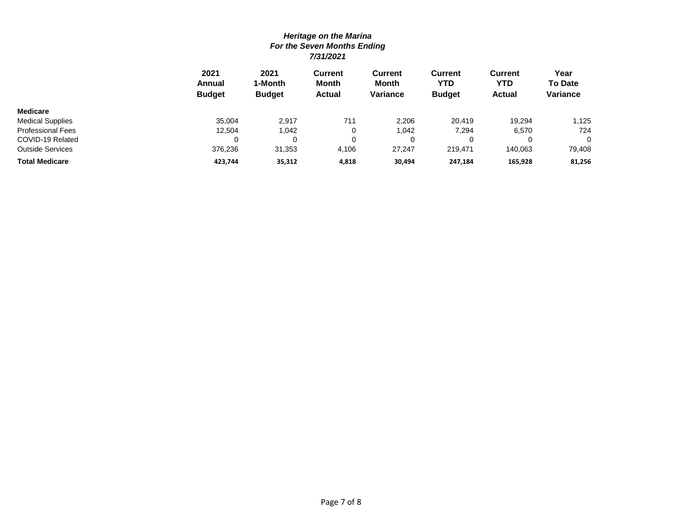|                          | 2021<br>Annual<br><b>Budget</b> | 2021<br>1-Month<br><b>Budget</b> | <b>Current</b><br>Month<br><b>Actual</b> | Current<br>Month<br><b>Variance</b> | <b>Current</b><br><b>YTD</b><br><b>Budget</b> | Current<br>YTD<br><b>Actual</b> | Year<br><b>To Date</b><br>Variance |
|--------------------------|---------------------------------|----------------------------------|------------------------------------------|-------------------------------------|-----------------------------------------------|---------------------------------|------------------------------------|
| <b>Medicare</b>          |                                 |                                  |                                          |                                     |                                               |                                 |                                    |
| <b>Medical Supplies</b>  | 35.004                          | 2,917                            | 711                                      | 2,206                               | 20.419                                        | 19,294                          | 1,125                              |
| <b>Professional Fees</b> | 12.504                          | 1,042                            | 0                                        | 1,042                               | 7,294                                         | 6,570                           | 724                                |
| COVID-19 Related         |                                 |                                  | 0                                        | 0                                   |                                               |                                 | $\mathbf{0}$                       |
| <b>Outside Services</b>  | 376,236                         | 31,353                           | 4,106                                    | 27.247                              | 219.471                                       | 140,063                         | 79,408                             |
| <b>Total Medicare</b>    | 423.744                         | 35,312                           | 4,818                                    | 30,494                              | 247.184                                       | 165,928                         | 81,256                             |